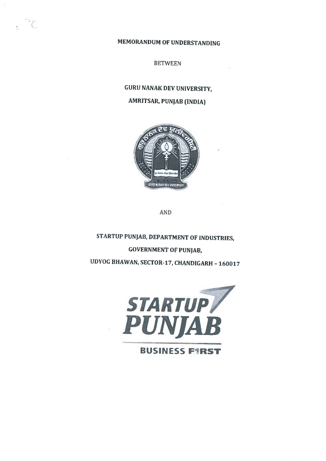MEMORANDUM OF UNDERSTANDING

 $\cdot$  C

**BETWEEN** 

# GURU NANAK DEV UNIVERSITY.

# **AMRITSAR, PUNJAB (INDIA)**



AND

STARTUP PUNJAB, DEPARTMENT OF INDUSTRIES, **GOVERNMENT OF PUNIAB.** UDYOG BHAWAN, SECTOR-17, CHANDIGARH - 160017

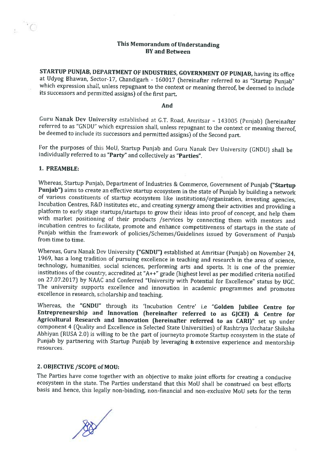# This Memorandum of Understanding BY and Between

STARTUP PUNJAB, DEPARTMENT OF INDUSTRIES, GOVERNMENT OF PUNJAB, having its office at Udyog Bhawan, Sector-17, Chandigarh - 160017 (hereinafter referred to as "Startup Punjab" which expression shall, unless repugnant to the context or meaning thereof, be deemed to include its successors and permitted assigns) of the first part.

#### And

Guru Nanak Dev University established at G.T. Road, Amritsar - 143005 (Punjab) (hereinafter referred to as "GNDIJ" which expression shall, unless repugnant to the context or meaning thereof, be deemed to include its successors and permitted assigns) of the Second part.

For the purposes of this MoU, Startup Punjab and Guru Nanak Dev University (GNDU) shall be individually referred to as "Party" and collectively as "Parties".

### 1. PREAMBLE:

Whereas, Startup Punjab, Department of Industries & Commerce, Government of Punjab ("Startup Punjab") aims to create an effective startup ecosystem in the state of Punjab by building a network of various constituents of startup ecosystem like institutions/organization, investing agencies, Incubation Centres, R&D institutes etc., and creating synergy among their activities and providing <sup>a</sup> platform to early stage startups/startups to grow their ideas into proof of concept, and help them with market positioning of their products /services by connecting them with mentors and incubation centres to facilitate, promote and enhance competitiveness of startups in the state of Punjab within the framework of policies/Schemes/Guidelines issued by Government of Punjab from time to time.

Whereas, Guru Nanak Dev University ("GNDU") established at Amritsar (Punjab) on November 24, 1969, has <sup>a</sup> long tradition of pursuing excellence in teaching and research in the area of science, technology, humanities, social sciences, performing arts and sports. It is one of the premier institutions of the country, accredited at "A++" grade (highest level as per modified criteria notified on 27.07.2017) by NAAC and Conferred "University with Potential for Excellence" status by UGC. The university supports excellence and innovation in academic programmes and promotes excellence in research, scholarship and teaching.

Whereas, the "GNDU" through its 'Incubation Centre' i.e "Golden Jubilee Centre for Entrepreneurship and Innovation (hereinafter referred to as GJCEI) & Centre for Agricultural Research and Innovation (hereinafter referred to as CARl)" set up under component 4 (Quality and Excellence in Selected State Universities) of Rashtriya Ucchatar Shiksha Abhiyan (RUSA 2.0) is willing to be the part of journeyto promote Startup ecosystem in the state of Punjab by partnering with Startup Punjab by leveraging is extensive experience and mentorship resources.

#### 2. OBJECTIVE /SCOPE of MOU:

The Parties have come together with an objective to make joint efforts for creating <sup>a</sup> conducive ecosystem in the state. The Parties understand that this MoU shall be construed on best efforts basis and hence, this legally non-binding, non-financial and non-exclusive MoU sets for the term

 $\overline{Q}$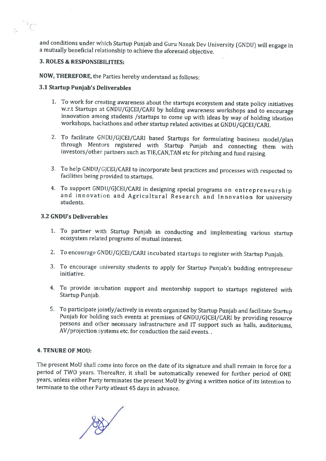and conditions under which Startup Punjab and Guru Nanak Dev University (GNDU) will engage in <sup>a</sup> mutually beneficial relationship to achieve the aforesaid objective.

# 3. ROLES & RESPONSIBILITIES:

 $\tilde{C}$ 

NOW, THEREFORE, the Parties hereby understand as follows:

# 3.1 Startup Punjab's Deliverables

- 1. To work for creating awareness about the startups ecosystem and state policy initiatives w.r.t Startups at GNDU/GJCEI/CARI by holding awareness workshops and to encourage innovation among students /startups to come up with ideas by way of holding ideation workshops, hackathons and other startup related activities at GNDU/GJCEI/CARI.
- 2. To facilitate GNDU/GJCEI/CARI based Startups for formulating business model/plan through Mentors registered with Startup Punjab and connecting them with investors/other partners such as TIE,CAN,TAN etc for pitching and fund raising.
- 3. To help GNDU/GJCEI/CARI to incorporate best practices and processes with respected to facilities being provided to startups.
- 4. To support GNDU/GJCEI/CARI in designing special programs on entrepreneurship and innovation and Agricultural Research and Innovation for university students.

# 3.2 GNDU's Deliverables

- 1. To partner with Startup Punjab in conducting and implementing various startup ecosystem related programs of mutual interest.
- 2. To encourage GNDU/GJCEI/CARI incubated startups to register with Startup Punjab.
- 3. To encourage university students to apply for Startup Punjab's budding entrepreneur initiative.
- 4. To provide incubation support and mentorship support to startups registered with Startup Punjab.
- 5. To participate jointly/actively in events organized by Startup Punjab and facilitate Startup Punjab for holding such events at premises of GNDU/GJCEI/CARI by providing resource persons and <sup>o</sup> her necessary infrastructure and IT support such as halls, auditoriums, AV/projection systems etc. for conduction the said events..

#### 4. TENURE OF MOU:

The present MoU shall come into force on the date of its signature and shall remain in force for <sup>a</sup> period of TWO years. Thereafter, it shall be automatically renewed for further period of ONE years, unless either Party terminates the present MoU by giving <sup>a</sup> written notice of its intention to terminate to the other Party atleast 45 days in advance.

"4